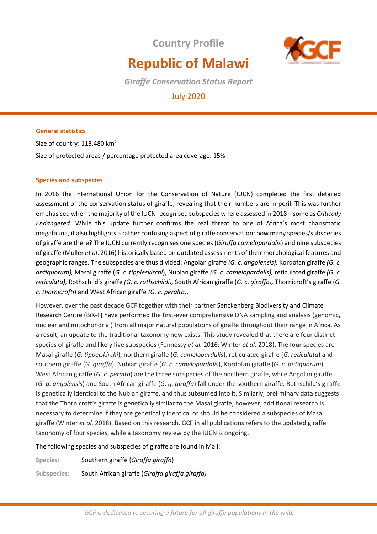**Country Profile**



# **Republic of Malawi**

*Giraffe Conservation Status Report* 

# July 2020

# **General statistics**

Size of country: 118,480 km² Size of protected areas / percentage protected area coverage: 15%

# **Species and subspecies**

In 2016 the International Union for the Conservation of Nature (IUCN) completed the first detailed assessment of the conservation status of giraffe, revealing that their numbers are in peril. This was further emphasised when the majority of the IUCN recognised subspecies where assessed in 2018 – some as *Critically Endangered*. While this update further confirms the real threat to one of Africa's most charismatic megafauna, it also highlights a rather confusing aspect of giraffe conservation: how many species/subspecies of giraffe are there? The IUCN currently recognises one species (*Giraffa camelopardalis*) and nine subspecies of giraffe (Muller *et al*. 2016) historically based on outdated assessments of their morphological features and geographic ranges. The subspecies are thus divided: Angolan giraffe *(G. c. angolensis),* Kordofan giraffe *(G. c. antiquorum),* Masai giraffe (*G. c. tippleskirchi*), Nubian giraffe *(G. c. camelopardalis),* reticulated giraffe *(G. c. reticulata),* Rothschild's giraffe *(G. c. rothschildi),* South African giraffe (*G. c*. *giraffa),* Thornicroft's giraffe (*G. c. thornicrofti*) and West African giraffe *(G. c. peralta).* 

However, over the past decade GCF together with their partner Senckenberg Biodiversity and Climate Research Centre (BiK-F) have performed the first-ever comprehensive DNA sampling and analysis (genomic, nuclear and mitochondrial) from all major natural populations of giraffe throughout their range in Africa. As a result, an update to the traditional taxonomy now exists. This study revealed that there are four distinct species of giraffe and likely five subspecies (Fennessy *et al.* 2016; Winter *et al.* 2018). The four species are Masai giraffe (*G. tippelskirchi*), northern giraffe (*G. camelopardalis*), reticulated giraffe (*G. reticulata*) and southern giraffe (*G. giraffa*). Nubian giraffe (*G. c. camelopardalis*), Kordofan giraffe (*G. c. antiquorum*), West African giraffe (*G. c. peralta*) are the three subspecies of the northern giraffe, while Angolan giraffe (*G. g. angolensis*) and South African giraffe (*G. g. giraffa*) fall under the southern giraffe. Rothschild's giraffe is genetically identical to the Nubian giraffe, and thus subsumed into it. Similarly, preliminary data suggests that the Thornicroft's giraffe is genetically similar to the Masai giraffe, however, additional research is necessary to determine if they are genetically identical or should be considered a subspecies of Masai giraffe (Winter *et al.* 2018). Based on this research, GCF in all publications refers to the updated giraffe taxonomy of four species, while a taxonomy review by the IUCN is ongoing.

The following species and subspecies of giraffe are found in Mali:

**Species:** Southern giraffe (*Giraffa giraffa*)

**Subspecies:** South African giraffe (*Giraffa giraffa giraffa)*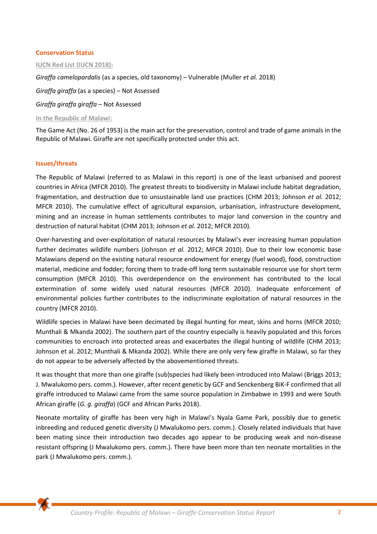#### **Conservation Status**

#### **IUCN Red List (IUCN 2018):**

*Giraffa camelopardalis* (as a species, old taxonomy) – Vulnerable (Muller *et al.* 2018)

*Giraffa giraffa* (as a species) – Not Assessed

*Giraffa giraffa giraffa* – Not Assessed

**In the Republic of Malawi:** 

The Game Act (No. 26 of 1953) is the main act for the preservation, control and trade of game animals in the Republic of Malawi. Giraffe are not specifically protected under this act.

#### **Issues/threats**

The Republic of Malawi (referred to as Malawi in this report) is one of the least urbanised and poorest countries in Africa (MFCR 2010). The greatest threats to biodiversity in Malawi include habitat degradation, fragmentation, and destruction due to unsustainable land use practices (CHM 2013; Johnson *et al.* 2012; MFCR 2010). The cumulative effect of agricultural expansion, urbanisation, infrastructure development, mining and an increase in human settlements contributes to major land conversion in the country and destruction of natural habitat (CHM 2013; Johnson *et al.* 2012; MFCR 2010).

Over-harvesting and over-exploitation of natural resources by Malawi's ever increasing human population further decimates wildlife numbers (Johnson *et al.* 2012; MFCR 2010). Due to their low economic base Malawians depend on the existing natural resource endowment for energy (fuel wood), food, construction material, medicine and fodder; forcing them to trade-off long term sustainable resource use for short term consumption (MFCR 2010). This overdependence on the environment has contributed to the local extermination of some widely used natural resources (MFCR 2010). Inadequate enforcement of environmental policies further contributes to the indiscriminate exploitation of natural resources in the country (MFCR 2010).

Wildlife species in Malawi have been decimated by illegal hunting for meat, skins and horns (MFCR 2010; Munthali & Mkanda 2002). The southern part of the country especially is heavily populated and this forces communities to encroach into protected areas and exacerbates the illegal hunting of wildlife (CHM 2013; Johnson et al. 2012; Munthali & Mkanda 2002). While there are only very few giraffe in Malawi, so far they do not appear to be adversely affected by the abovementioned threats.

It was thought that more than one giraffe (sub)species had likely been introduced into Malawi (Briggs 2013; J. Mwalukomo pers. comm.). However, after recent genetic by GCF and Senckenberg BiK-F confirmed that all giraffe introduced to Malawi came from the same source population in Zimbabwe in 1993 and were South African giraffe (*G. g. giraffa*) (GCF and African Parks 2018).

Neonate mortality of giraffe has been very high in Malawi's Nyala Game Park, possibly due to genetic inbreeding and reduced genetic diversity (J Mwalukomo pers. comm.). Closely related individuals that have been mating since their introduction two decades ago appear to be producing weak and non-disease resistant offspring (J Mwalukomo pers. comm.). There have been more than ten neonate mortalities in the park (J Mwalukomo pers. comm.).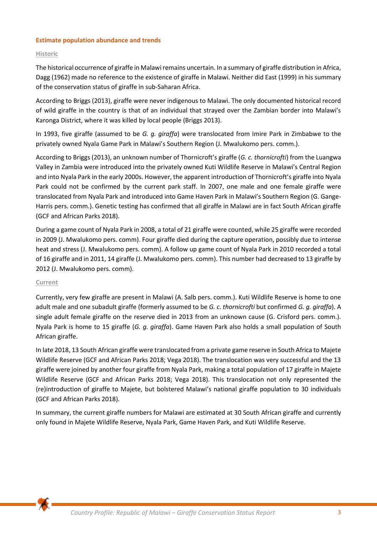## **Estimate population abundance and trends**

## **Historic**

The historical occurrence of giraffe in Malawi remains uncertain. In a summary of giraffe distribution in Africa, Dagg (1962) made no reference to the existence of giraffe in Malawi. Neither did East (1999) in his summary of the conservation status of giraffe in sub-Saharan Africa.

According to Briggs (2013), giraffe were never indigenous to Malawi. The only documented historical record of wild giraffe in the country is that of an individual that strayed over the Zambian border into Malawi's Karonga District, where it was killed by local people (Briggs 2013).

In 1993, five giraffe (assumed to be *G. g. giraffa*) were translocated from Imire Park in Zimbabwe to the privately owned Nyala Game Park in Malawi's Southern Region (J. Mwalukomo pers. comm.).

According to Briggs (2013), an unknown number of Thornicroft's giraffe (*G. c. thornicrofti*) from the Luangwa Valley in Zambia were introduced into the privately owned Kuti Wildlife Reserve in Malawi's Central Region and into Nyala Park in the early 2000s. However, the apparent introduction of Thornicroft's giraffe into Nyala Park could not be confirmed by the current park staff. In 2007, one male and one female giraffe were translocated from Nyala Park and introduced into Game Haven Park in Malawi's Southern Region (G. Gange-Harris pers. comm.). Genetic testing has confirmed that all giraffe in Malawi are in fact South African giraffe (GCF and African Parks 2018).

During a game count of Nyala Park in 2008, a total of 21 giraffe were counted, while 25 giraffe were recorded in 2009 (J. Mwalukomo pers. comm). Four giraffe died during the capture operation, possibly due to intense heat and stress (J. Mwalukomo pers. comm). A follow up game count of Nyala Park in 2010 recorded a total of 16 giraffe and in 2011, 14 giraffe (J. Mwalukomo pers. comm). This number had decreased to 13 giraffe by 2012 (J. Mwalukomo pers. comm).

#### **Current**

Currently, very few giraffe are present in Malawi (A. Salb pers. comm.). Kuti Wildlife Reserve is home to one adult male and one subadult giraffe (formerly assumed to be *G. c. thornicrofti* but confirmed *G. g. giraffa*). A single adult female giraffe on the reserve died in 2013 from an unknown cause (G. Crisford pers. comm.). Nyala Park is home to 15 giraffe (*G. g. giraffa*). Game Haven Park also holds a small population of South African giraffe.

In late 2018, 13 South African giraffe were translocated from a private game reserve in South Africa to Majete Wildlife Reserve (GCF and African Parks 2018; Vega 2018). The translocation was very successful and the 13 giraffe were joined by another four giraffe from Nyala Park, making a total population of 17 giraffe in Majete Wildlife Reserve (GCF and African Parks 2018; Vega 2018). This translocation not only represented the (re)introduction of giraffe to Majete, but bolstered Malawi's national giraffe population to 30 individuals (GCF and African Parks 2018).

In summary, the current giraffe numbers for Malawi are estimated at 30 South African giraffe and currently only found in Majete Wildlife Reserve, Nyala Park, Game Haven Park, and Kuti Wildlife Reserve.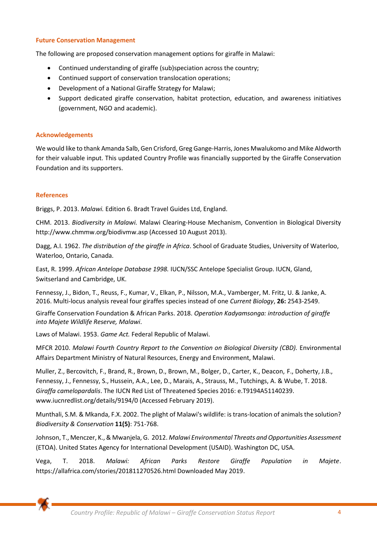#### **Future Conservation Management**

The following are proposed conservation management options for giraffe in Malawi:

- Continued understanding of giraffe (sub)speciation across the country;
- Continued support of conservation translocation operations;
- Development of a National Giraffe Strategy for Malawi;
- Support dedicated giraffe conservation, habitat protection, education, and awareness initiatives (government, NGO and academic).

#### **Acknowledgements**

We would like to thank Amanda Salb, Gen Crisford, Greg Gange-Harris, Jones Mwalukomo and Mike Aldworth for their valuable input. This updated Country Profile was financially supported by the Giraffe Conservation Foundation and its supporters.

#### **References**

Briggs, P. 2013. *Malawi.* Edition 6. [Bradt Travel Guides](http://books.google.com.na/url?client=ca-print-pub-1132843919244222&format=googleprint&num=0&channel=BTB-ca-print-pub-1132843919244222+BTB-ISBN:1841624748&q=http://www.bradtguides.com/Book/607/Malawi.html&usg=AFQjCNFYQKpehAtW_4fHjqe6npRVNFh7XA&source=gbs_buy_r) Ltd, England.

CHM. 2013. *Biodiversity in Malawi.* Malawi Clearing-House Mechanism, Convention in Biological Diversity http://www.chmmw.org/biodivmw.asp (Accessed 10 August 2013).

Dagg, A.I. 1962. *The distribution of the giraffe in Africa*. School of Graduate Studies, University of Waterloo, Waterloo, Ontario, Canada.

East, R. 1999. *African Antelope Database 1998.* IUCN/SSC Antelope Specialist Group. IUCN, Gland, Switserland and Cambridge, UK.

Fennessy, J., Bidon, T., Reuss, F., Kumar, V., Elkan, P., Nilsson, M.A., Vamberger, M. Fritz, U. & Janke, A. 2016. Multi-locus analysis reveal four giraffes species instead of one *Current Biology*, **26:** 2543-2549.

Giraffe Conservation Foundation & African Parks. 2018. *Operation Kadyamsonga: introduction of giraffe into Majete Wildlife Reserve, Malawi*.

Laws of Malawi. 1953. *Game Act.* Federal Republic of Malawi.

MFCR 2010. *Malawi Fourth Country Report to the Convention on Biological Diversity (CBD).* Environmental Affairs Department Ministry of Natural Resources, Energy and Environment, Malawi.

Muller, Z., Bercovitch, F., Brand, R., Brown, D., Brown, M., Bolger, D., Carter, K., Deacon, F., Doherty, J.B., Fennessy, J., Fennessy, S., Hussein, A.A., Lee, D., Marais, A., Strauss, M., Tutchings, A. & Wube, T. 2018. *Giraffa camelopardalis*. The IUCN Red List of Threatened Species 2016: e.T9194A51140239. www.iucnredlist.org/details/9194/0 (Accessed February 2019).

Munthali, S.M. & Mkanda, F.X. 2002. The plight of Malawi's wildlife: is trans-location of animals the solution? *Biodiversity & Conservation* **11(5)**: 751-768.

Johnson, T., Menczer, K., & Mwanjela, G. 2012. *Malawi Environmental Threats and Opportunities Assessment* (ETOA). United States Agency for International Development (USAID). Washington DC, USA.

Vega, T. 2018. *Malawi: African Parks Restore Giraffe Population in Majete*. [https://allafrica.com/stories/201811270526.html Downloaded May 2019.](https://allafrica.com/stories/201811270526.html%20Downloaded%20May%202019)

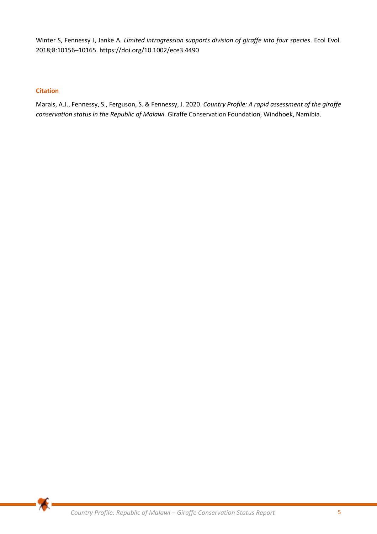Winter S, Fennessy J, Janke A. *Limited introgression supports division of giraffe into four species*. Ecol Evol. 2018;8:10156–10165.<https://doi.org/10.1002/ece3.4490>

# **Citation**

Marais, A.J., Fennessy, S., Ferguson, S. & Fennessy, J. 2020. *Country Profile: A rapid assessment of the giraffe conservation status in the Republic of Malawi.* Giraffe Conservation Foundation, Windhoek, Namibia.